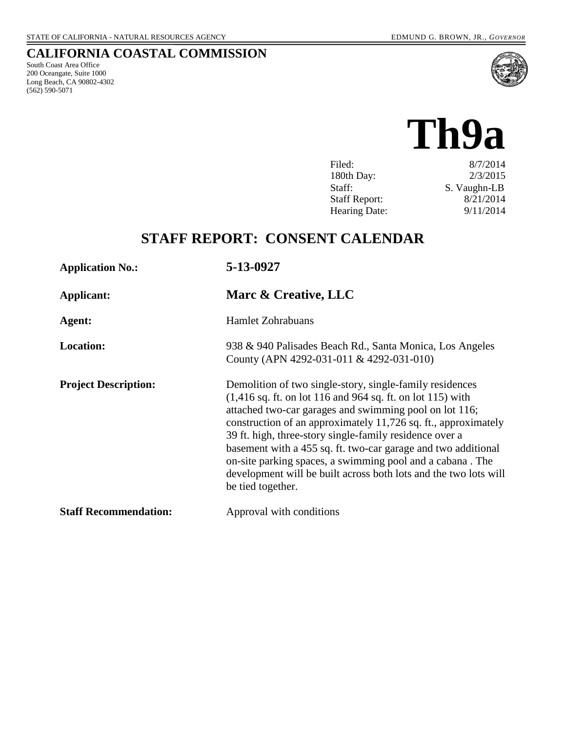## **CALIFORNIA COASTAL COMMISSION**

South Coast Area Office 200 Oceangate, Suite 1000 Long Beach, CA 90802-4302 (562) 590-5071



# **Th9a**

| 8/7/2014     |
|--------------|
| 2/3/2015     |
| S. Vaughn-LB |
| 8/21/2014    |
| 9/11/2014    |
|              |

# **STAFF REPORT: CONSENT CALENDAR**

| <b>Application No.:</b>      | 5-13-0927                                                                                                                                                                                                                                                                                                                                                                                                                                                                                                                                                         |
|------------------------------|-------------------------------------------------------------------------------------------------------------------------------------------------------------------------------------------------------------------------------------------------------------------------------------------------------------------------------------------------------------------------------------------------------------------------------------------------------------------------------------------------------------------------------------------------------------------|
| Applicant:                   | Marc & Creative, LLC                                                                                                                                                                                                                                                                                                                                                                                                                                                                                                                                              |
| Agent:                       | <b>Hamlet Zohrabuans</b>                                                                                                                                                                                                                                                                                                                                                                                                                                                                                                                                          |
| <b>Location:</b>             | 938 & 940 Palisades Beach Rd., Santa Monica, Los Angeles<br>County (APN 4292-031-011 & 4292-031-010)                                                                                                                                                                                                                                                                                                                                                                                                                                                              |
| <b>Project Description:</b>  | Demolition of two single-story, single-family residences<br>$(1,416 \text{ sq. ft. on lot } 116 \text{ and } 964 \text{ sq. ft. on lot } 115)$ with<br>attached two-car garages and swimming pool on lot 116;<br>construction of an approximately 11,726 sq. ft., approximately<br>39 ft. high, three-story single-family residence over a<br>basement with a 455 sq. ft. two-car garage and two additional<br>on-site parking spaces, a swimming pool and a cabana. The<br>development will be built across both lots and the two lots will<br>be tied together. |
| <b>Staff Recommendation:</b> | Approval with conditions                                                                                                                                                                                                                                                                                                                                                                                                                                                                                                                                          |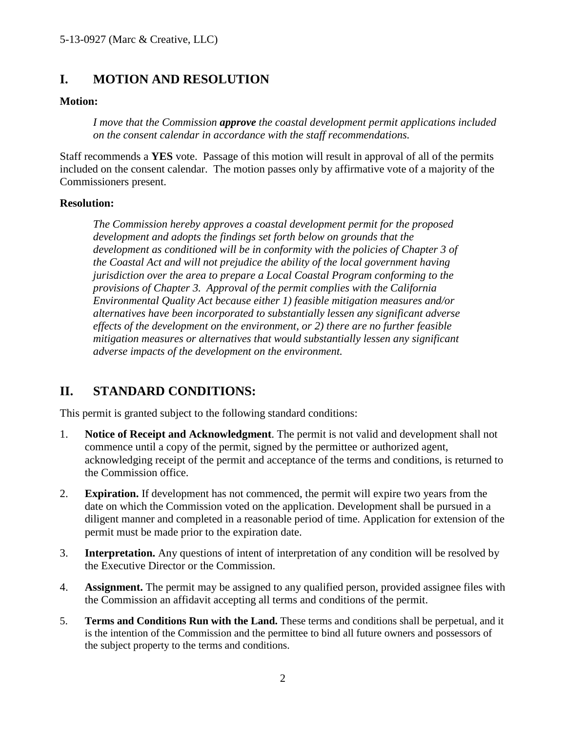#### **I. MOTION AND RESOLUTION**

#### **Motion:**

*I move that the Commission approve the coastal development permit applications included on the consent calendar in accordance with the staff recommendations.*

Staff recommends a **YES** vote. Passage of this motion will result in approval of all of the permits included on the consent calendar. The motion passes only by affirmative vote of a majority of the Commissioners present.

#### **Resolution:**

*The Commission hereby approves a coastal development permit for the proposed development and adopts the findings set forth below on grounds that the development as conditioned will be in conformity with the policies of Chapter 3 of the Coastal Act and will not prejudice the ability of the local government having jurisdiction over the area to prepare a Local Coastal Program conforming to the provisions of Chapter 3. Approval of the permit complies with the California Environmental Quality Act because either 1) feasible mitigation measures and/or alternatives have been incorporated to substantially lessen any significant adverse effects of the development on the environment, or 2) there are no further feasible mitigation measures or alternatives that would substantially lessen any significant adverse impacts of the development on the environment.* 

### **II. STANDARD CONDITIONS:**

This permit is granted subject to the following standard conditions:

- 1. **Notice of Receipt and Acknowledgment**. The permit is not valid and development shall not commence until a copy of the permit, signed by the permittee or authorized agent, acknowledging receipt of the permit and acceptance of the terms and conditions, is returned to the Commission office.
- 2. **Expiration.** If development has not commenced, the permit will expire two years from the date on which the Commission voted on the application. Development shall be pursued in a diligent manner and completed in a reasonable period of time. Application for extension of the permit must be made prior to the expiration date.
- 3. **Interpretation.** Any questions of intent of interpretation of any condition will be resolved by the Executive Director or the Commission.
- 4. **Assignment.** The permit may be assigned to any qualified person, provided assignee files with the Commission an affidavit accepting all terms and conditions of the permit.
- 5. **Terms and Conditions Run with the Land.** These terms and conditions shall be perpetual, and it is the intention of the Commission and the permittee to bind all future owners and possessors of the subject property to the terms and conditions.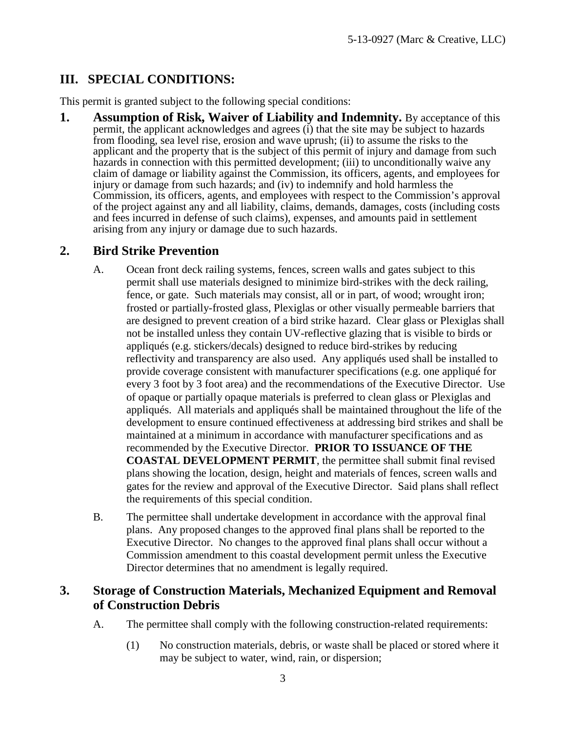## **III. SPECIAL CONDITIONS:**

This permit is granted subject to the following special conditions:

**1.** Assumption of Risk, Waiver of Liability and Indemnity. By acceptance of this permit, the applicant acknowledges and agrees (i) that the site may be subject to hazards from flooding, sea level rise, erosion and wave uprush; (ii) to assume the risks to the applicant and the property that is the subject of this permit of injury and damage from such hazards in connection with this permitted development; (iii) to unconditionally waive any claim of damage or liability against the Commission, its officers, agents, and employees for injury or damage from such hazards; and (iv) to indemnify and hold harmless the Commission, its officers, agents, and employees with respect to the Commission's approval of the project against any and all liability, claims, demands, damages, costs (including costs and fees incurred in defense of such claims), expenses, and amounts paid in settlement arising from any injury or damage due to such hazards.

### **2. Bird Strike Prevention**

- A. Ocean front deck railing systems, fences, screen walls and gates subject to this permit shall use materials designed to minimize bird-strikes with the deck railing, fence, or gate. Such materials may consist, all or in part, of wood; wrought iron; frosted or partially-frosted glass, Plexiglas or other visually permeable barriers that are designed to prevent creation of a bird strike hazard. Clear glass or Plexiglas shall not be installed unless they contain UV-reflective glazing that is visible to birds or appliqués (e.g. stickers/decals) designed to reduce bird-strikes by reducing reflectivity and transparency are also used. Any appliqués used shall be installed to provide coverage consistent with manufacturer specifications (e.g. one appliqué for every 3 foot by 3 foot area) and the recommendations of the Executive Director. Use of opaque or partially opaque materials is preferred to clean glass or Plexiglas and appliqués. All materials and appliqués shall be maintained throughout the life of the development to ensure continued effectiveness at addressing bird strikes and shall be maintained at a minimum in accordance with manufacturer specifications and as recommended by the Executive Director. **PRIOR TO ISSUANCE OF THE COASTAL DEVELOPMENT PERMIT**, the permittee shall submit final revised plans showing the location, design, height and materials of fences, screen walls and gates for the review and approval of the Executive Director. Said plans shall reflect the requirements of this special condition.
- B. The permittee shall undertake development in accordance with the approval final plans. Any proposed changes to the approved final plans shall be reported to the Executive Director. No changes to the approved final plans shall occur without a Commission amendment to this coastal development permit unless the Executive Director determines that no amendment is legally required.

### **3. Storage of Construction Materials, Mechanized Equipment and Removal of Construction Debris**

- A. The permittee shall comply with the following construction-related requirements:
	- (1) No construction materials, debris, or waste shall be placed or stored where it may be subject to water, wind, rain, or dispersion;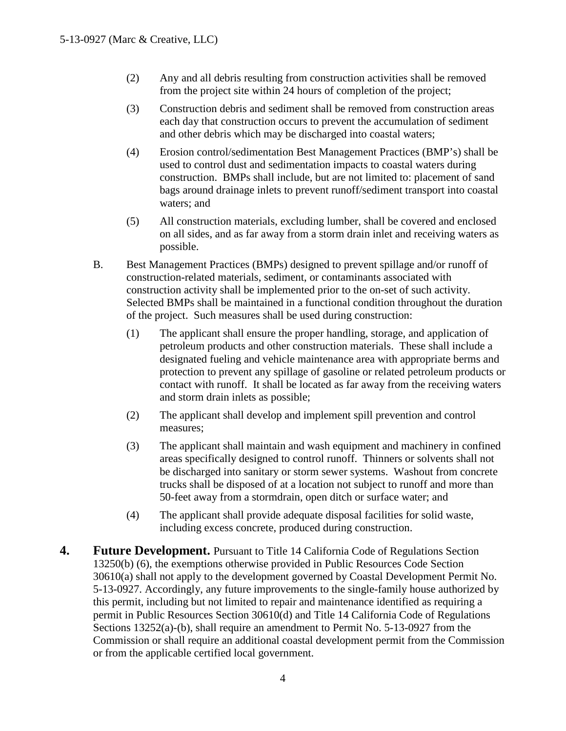- (2) Any and all debris resulting from construction activities shall be removed from the project site within 24 hours of completion of the project;
- (3) Construction debris and sediment shall be removed from construction areas each day that construction occurs to prevent the accumulation of sediment and other debris which may be discharged into coastal waters;
- (4) Erosion control/sedimentation Best Management Practices (BMP's) shall be used to control dust and sedimentation impacts to coastal waters during construction. BMPs shall include, but are not limited to: placement of sand bags around drainage inlets to prevent runoff/sediment transport into coastal waters; and
- (5) All construction materials, excluding lumber, shall be covered and enclosed on all sides, and as far away from a storm drain inlet and receiving waters as possible.
- B. Best Management Practices (BMPs) designed to prevent spillage and/or runoff of construction-related materials, sediment, or contaminants associated with construction activity shall be implemented prior to the on-set of such activity. Selected BMPs shall be maintained in a functional condition throughout the duration of the project. Such measures shall be used during construction:
	- (1) The applicant shall ensure the proper handling, storage, and application of petroleum products and other construction materials. These shall include a designated fueling and vehicle maintenance area with appropriate berms and protection to prevent any spillage of gasoline or related petroleum products or contact with runoff. It shall be located as far away from the receiving waters and storm drain inlets as possible;
	- (2) The applicant shall develop and implement spill prevention and control measures;
	- (3) The applicant shall maintain and wash equipment and machinery in confined areas specifically designed to control runoff. Thinners or solvents shall not be discharged into sanitary or storm sewer systems. Washout from concrete trucks shall be disposed of at a location not subject to runoff and more than 50-feet away from a stormdrain, open ditch or surface water; and
	- (4) The applicant shall provide adequate disposal facilities for solid waste, including excess concrete, produced during construction.
- **4. Future Development.** Pursuant to Title 14 California Code of Regulations Section 13250(b) (6), the exemptions otherwise provided in Public Resources Code Section 30610(a) shall not apply to the development governed by Coastal Development Permit No. 5-13-0927. Accordingly, any future improvements to the single-family house authorized by this permit, including but not limited to repair and maintenance identified as requiring a permit in Public Resources Section 30610(d) and Title 14 California Code of Regulations Sections 13252(a)-(b), shall require an amendment to Permit No. 5-13-0927 from the Commission or shall require an additional coastal development permit from the Commission or from the applicable certified local government.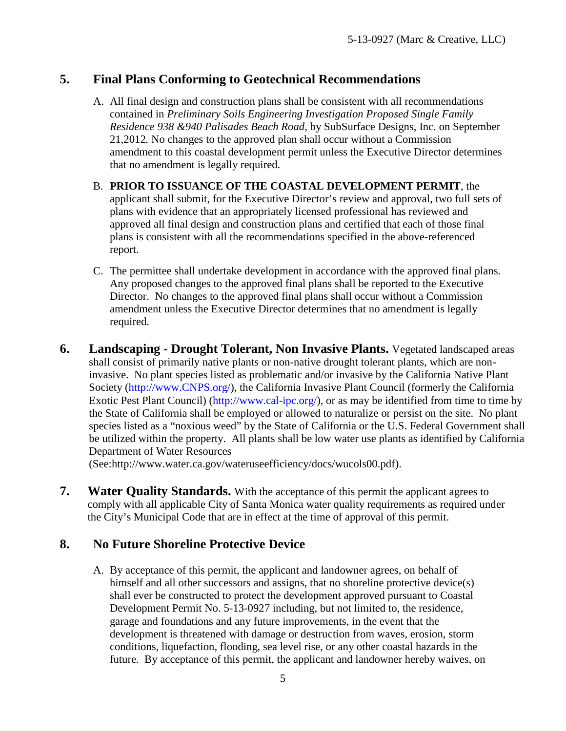#### **5. Final Plans Conforming to Geotechnical Recommendations**

- A. All final design and construction plans shall be consistent with all recommendations contained in *Preliminary Soils Engineering Investigation Proposed Single Family Residence 938 &940 Palisades Beach Road,* by SubSurface Designs, Inc. on September 21,2012*.* No changes to the approved plan shall occur without a Commission amendment to this coastal development permit unless the Executive Director determines that no amendment is legally required.
- B. **PRIOR TO ISSUANCE OF THE COASTAL DEVELOPMENT PERMIT**, the applicant shall submit, for the Executive Director's review and approval, two full sets of plans with evidence that an appropriately licensed professional has reviewed and approved all final design and construction plans and certified that each of those final plans is consistent with all the recommendations specified in the above-referenced report.
- C. The permittee shall undertake development in accordance with the approved final plans. Any proposed changes to the approved final plans shall be reported to the Executive Director. No changes to the approved final plans shall occur without a Commission amendment unless the Executive Director determines that no amendment is legally required.
- **6. Landscaping Drought Tolerant, Non Invasive Plants.** Vegetated landscaped areas shall consist of primarily native plants or non-native drought tolerant plants, which are noninvasive. No plant species listed as problematic and/or invasive by the California Native Plant Society [\(http://www.CNPS.org/\)](http://www.cnps.org/), the California Invasive Plant Council (formerly the California Exotic Pest Plant Council) [\(http://www.cal-ipc.org/\)](http://www.cal-ipc.org/), or as may be identified from time to time by the State of California shall be employed or allowed to naturalize or persist on the site. No plant species listed as a "noxious weed" by the State of California or the U.S. Federal Government shall be utilized within the property. All plants shall be low water use plants as identified by California Department of Water Resources

(See:http://www.water.ca.gov/wateruseefficiency/docs/wucols00.pdf).

**7.** Water Quality Standards. With the acceptance of this permit the applicant agrees to comply with all applicable City of Santa Monica water quality requirements as required under the City's Municipal Code that are in effect at the time of approval of this permit.

#### **8. No Future Shoreline Protective Device**

A. By acceptance of this permit, the applicant and landowner agrees, on behalf of himself and all other successors and assigns, that no shoreline protective device(s) shall ever be constructed to protect the development approved pursuant to Coastal Development Permit No. 5-13-0927 including, but not limited to, the residence, garage and foundations and any future improvements, in the event that the development is threatened with damage or destruction from waves, erosion, storm conditions, liquefaction, flooding, sea level rise, or any other coastal hazards in the future. By acceptance of this permit, the applicant and landowner hereby waives, on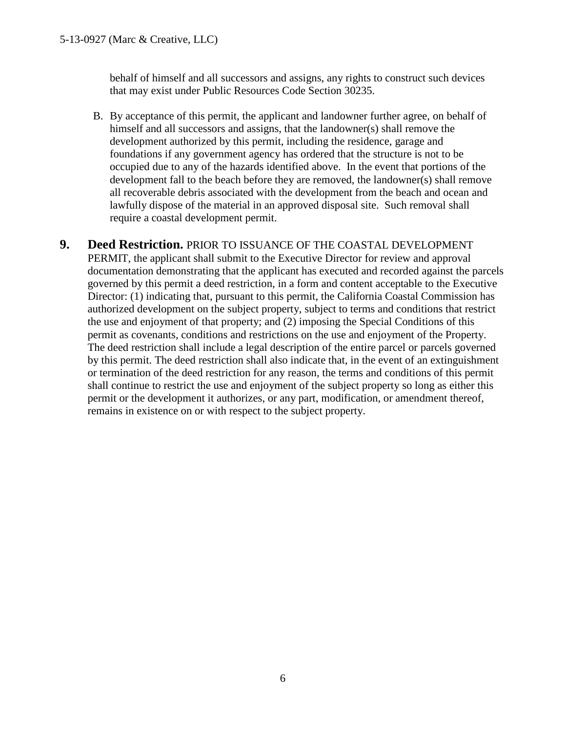behalf of himself and all successors and assigns, any rights to construct such devices that may exist under Public Resources Code Section 30235.

- B. By acceptance of this permit, the applicant and landowner further agree, on behalf of himself and all successors and assigns, that the landowner(s) shall remove the development authorized by this permit, including the residence, garage and foundations if any government agency has ordered that the structure is not to be occupied due to any of the hazards identified above. In the event that portions of the development fall to the beach before they are removed, the landowner(s) shall remove all recoverable debris associated with the development from the beach and ocean and lawfully dispose of the material in an approved disposal site. Such removal shall require a coastal development permit.
- **9. Deed Restriction.** PRIOR TO ISSUANCE OF THE COASTAL DEVELOPMENT PERMIT, the applicant shall submit to the Executive Director for review and approval documentation demonstrating that the applicant has executed and recorded against the parcels governed by this permit a deed restriction, in a form and content acceptable to the Executive Director: (1) indicating that, pursuant to this permit, the California Coastal Commission has authorized development on the subject property, subject to terms and conditions that restrict the use and enjoyment of that property; and (2) imposing the Special Conditions of this permit as covenants, conditions and restrictions on the use and enjoyment of the Property. The deed restriction shall include a legal description of the entire parcel or parcels governed by this permit. The deed restriction shall also indicate that, in the event of an extinguishment or termination of the deed restriction for any reason, the terms and conditions of this permit shall continue to restrict the use and enjoyment of the subject property so long as either this permit or the development it authorizes, or any part, modification, or amendment thereof, remains in existence on or with respect to the subject property.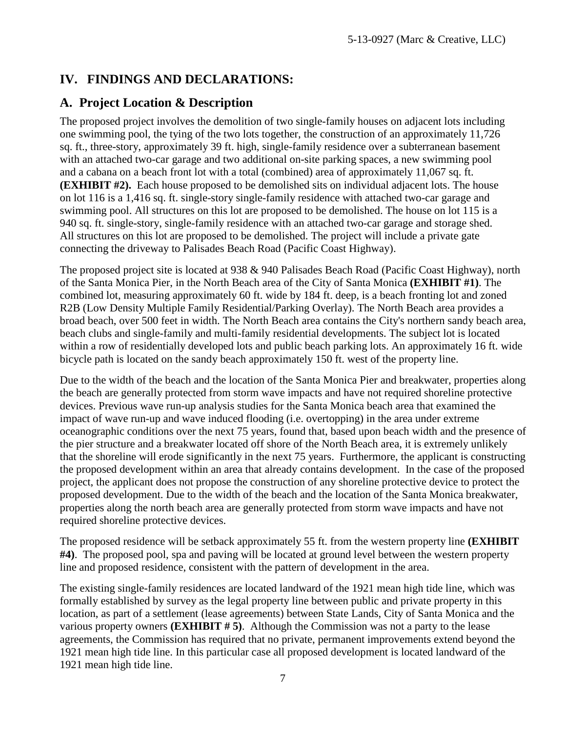## **IV. FINDINGS AND DECLARATIONS:**

#### **A. Project Location & Description**

The proposed project involves the demolition of two single-family houses on adjacent lots including one swimming pool, the tying of the two lots together, the construction of an approximately 11,726 sq. ft., three-story, approximately 39 ft. high, single-family residence over a subterranean basement with an attached two-car garage and two additional on-site parking spaces, a new swimming pool and a cabana on a beach front lot with a total (combined) area of approximately 11,067 sq. ft. **(EXHIBIT #2).** Each house proposed to be demolished sits on individual adjacent lots. The house on lot 116 is a 1,416 sq. ft. single-story single-family residence with attached two-car garage and swimming pool. All structures on this lot are proposed to be demolished. The house on lot 115 is a 940 sq. ft. single-story, single-family residence with an attached two-car garage and storage shed. All structures on this lot are proposed to be demolished. The project will include a private gate connecting the driveway to Palisades Beach Road (Pacific Coast Highway).

The proposed project site is located at 938 & 940 Palisades Beach Road (Pacific Coast Highway), north of the Santa Monica Pier, in the North Beach area of the City of Santa Monica **(EXHIBIT #1)**. The combined lot, measuring approximately 60 ft. wide by 184 ft. deep, is a beach fronting lot and zoned R2B (Low Density Multiple Family Residential/Parking Overlay). The North Beach area provides a broad beach, over 500 feet in width. The North Beach area contains the City's northern sandy beach area, beach clubs and single-family and multi-family residential developments. The subject lot is located within a row of residentially developed lots and public beach parking lots. An approximately 16 ft. wide bicycle path is located on the sandy beach approximately 150 ft. west of the property line.

Due to the width of the beach and the location of the Santa Monica Pier and breakwater, properties along the beach are generally protected from storm wave impacts and have not required shoreline protective devices. Previous wave run-up analysis studies for the Santa Monica beach area that examined the impact of wave run-up and wave induced flooding (i.e. overtopping) in the area under extreme oceanographic conditions over the next 75 years, found that, based upon beach width and the presence of the pier structure and a breakwater located off shore of the North Beach area, it is extremely unlikely that the shoreline will erode significantly in the next 75 years. Furthermore, the applicant is constructing the proposed development within an area that already contains development. In the case of the proposed project, the applicant does not propose the construction of any shoreline protective device to protect the proposed development. Due to the width of the beach and the location of the Santa Monica breakwater, properties along the north beach area are generally protected from storm wave impacts and have not required shoreline protective devices.

The proposed residence will be setback approximately 55 ft. from the western property line **(EXHIBIT #4)**. The proposed pool, spa and paving will be located at ground level between the western property line and proposed residence, consistent with the pattern of development in the area.

The existing single-family residences are located landward of the 1921 mean high tide line, which was formally established by survey as the legal property line between public and private property in this location, as part of a settlement (lease agreements) between State Lands, City of Santa Monica and the various property owners **(EXHIBIT # 5)**. Although the Commission was not a party to the lease agreements, the Commission has required that no private, permanent improvements extend beyond the 1921 mean high tide line. In this particular case all proposed development is located landward of the 1921 mean high tide line.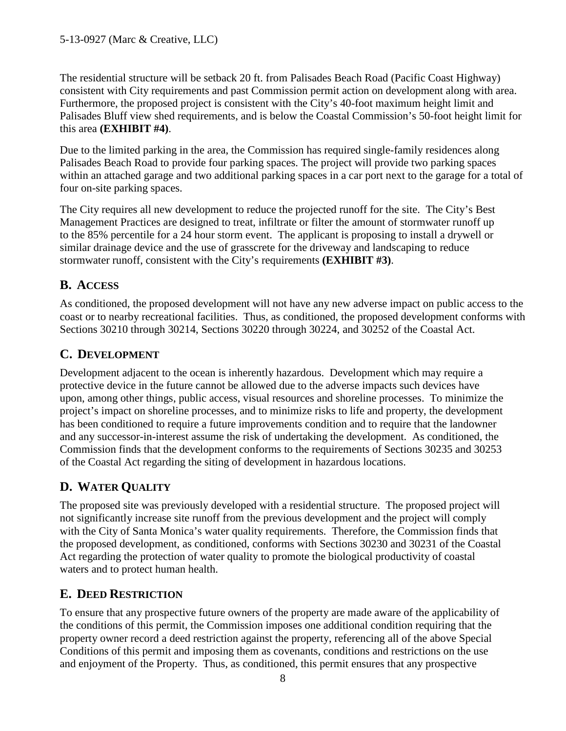The residential structure will be setback 20 ft. from Palisades Beach Road (Pacific Coast Highway) consistent with City requirements and past Commission permit action on development along with area. Furthermore, the proposed project is consistent with the City's 40-foot maximum height limit and Palisades Bluff view shed requirements, and is below the Coastal Commission's 50-foot height limit for this area **(EXHIBIT #4)**.

Due to the limited parking in the area, the Commission has required single-family residences along Palisades Beach Road to provide four parking spaces. The project will provide two parking spaces within an attached garage and two additional parking spaces in a car port next to the garage for a total of four on-site parking spaces.

The City requires all new development to reduce the projected runoff for the site. The City's Best Management Practices are designed to treat, infiltrate or filter the amount of stormwater runoff up to the 85% percentile for a 24 hour storm event. The applicant is proposing to install a drywell or similar drainage device and the use of grasscrete for the driveway and landscaping to reduce stormwater runoff, consistent with the City's requirements **(EXHIBIT #3)**.

## **B. ACCESS**

As conditioned, the proposed development will not have any new adverse impact on public access to the coast or to nearby recreational facilities. Thus, as conditioned, the proposed development conforms with Sections 30210 through 30214, Sections 30220 through 30224, and 30252 of the Coastal Act.

## **C. DEVELOPMENT**

Development adjacent to the ocean is inherently hazardous. Development which may require a protective device in the future cannot be allowed due to the adverse impacts such devices have upon, among other things, public access, visual resources and shoreline processes. To minimize the project's impact on shoreline processes, and to minimize risks to life and property, the development has been conditioned to require a future improvements condition and to require that the landowner and any successor-in-interest assume the risk of undertaking the development. As conditioned, the Commission finds that the development conforms to the requirements of Sections 30235 and 30253 of the Coastal Act regarding the siting of development in hazardous locations.

## **D. WATER QUALITY**

The proposed site was previously developed with a residential structure. The proposed project will not significantly increase site runoff from the previous development and the project will comply with the City of Santa Monica's water quality requirements. Therefore, the Commission finds that the proposed development, as conditioned, conforms with Sections 30230 and 30231 of the Coastal Act regarding the protection of water quality to promote the biological productivity of coastal waters and to protect human health.

### **E. DEED RESTRICTION**

To ensure that any prospective future owners of the property are made aware of the applicability of the conditions of this permit, the Commission imposes one additional condition requiring that the property owner record a deed restriction against the property, referencing all of the above Special Conditions of this permit and imposing them as covenants, conditions and restrictions on the use and enjoyment of the Property. Thus, as conditioned, this permit ensures that any prospective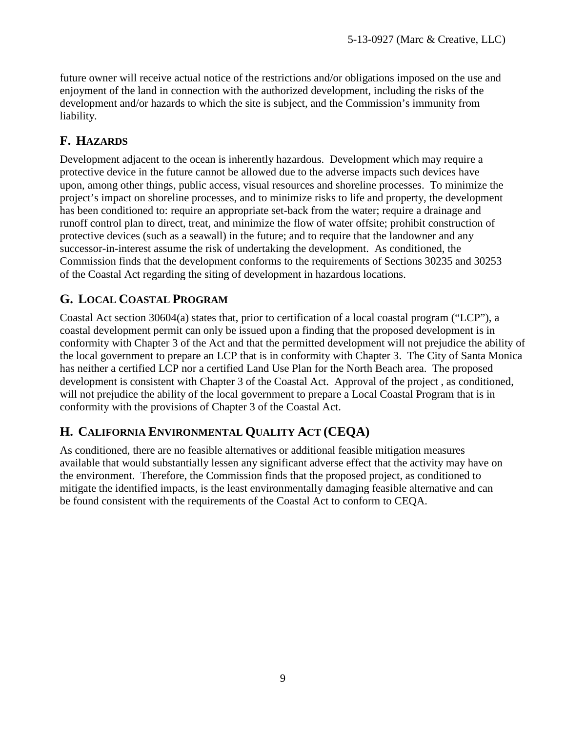future owner will receive actual notice of the restrictions and/or obligations imposed on the use and enjoyment of the land in connection with the authorized development, including the risks of the development and/or hazards to which the site is subject, and the Commission's immunity from liability.

### **F. HAZARDS**

Development adjacent to the ocean is inherently hazardous. Development which may require a protective device in the future cannot be allowed due to the adverse impacts such devices have upon, among other things, public access, visual resources and shoreline processes. To minimize the project's impact on shoreline processes, and to minimize risks to life and property, the development has been conditioned to: require an appropriate set-back from the water; require a drainage and runoff control plan to direct, treat, and minimize the flow of water offsite; prohibit construction of protective devices (such as a seawall) in the future; and to require that the landowner and any successor-in-interest assume the risk of undertaking the development. As conditioned, the Commission finds that the development conforms to the requirements of Sections 30235 and 30253 of the Coastal Act regarding the siting of development in hazardous locations.

## **G. LOCAL COASTAL PROGRAM**

Coastal Act section 30604(a) states that, prior to certification of a local coastal program ("LCP"), a coastal development permit can only be issued upon a finding that the proposed development is in conformity with Chapter 3 of the Act and that the permitted development will not prejudice the ability of the local government to prepare an LCP that is in conformity with Chapter 3. The City of Santa Monica has neither a certified LCP nor a certified Land Use Plan for the North Beach area. The proposed development is consistent with Chapter 3 of the Coastal Act. Approval of the project , as conditioned, will not prejudice the ability of the local government to prepare a Local Coastal Program that is in conformity with the provisions of Chapter 3 of the Coastal Act.

#### **H. CALIFORNIA ENVIRONMENTAL QUALITY ACT (CEQA)**

As conditioned, there are no feasible alternatives or additional feasible mitigation measures available that would substantially lessen any significant adverse effect that the activity may have on the environment. Therefore, the Commission finds that the proposed project, as conditioned to mitigate the identified impacts, is the least environmentally damaging feasible alternative and can be found consistent with the requirements of the Coastal Act to conform to CEQA.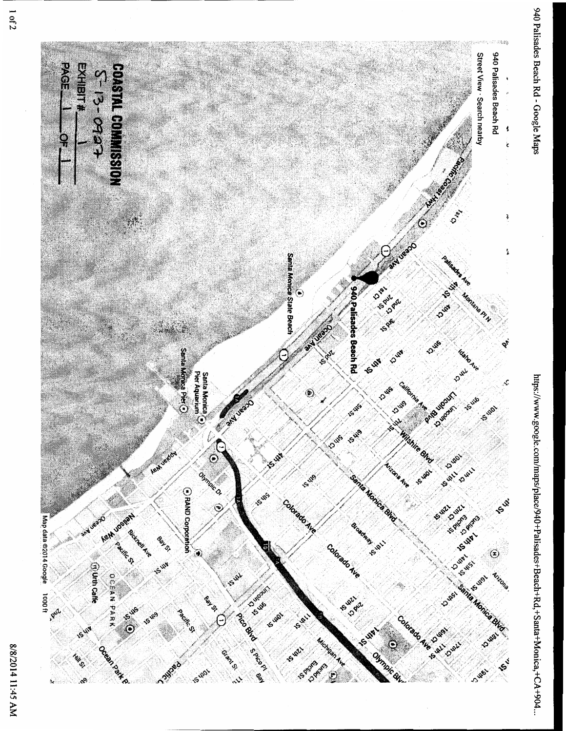

https://www.google.com/maps/place/940+Palisades+Beach+Rd,+Santa+Monica,+CA+904...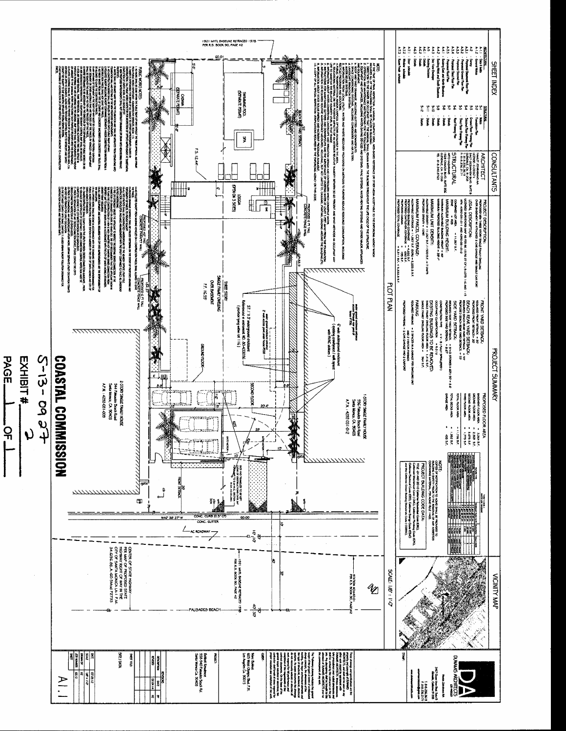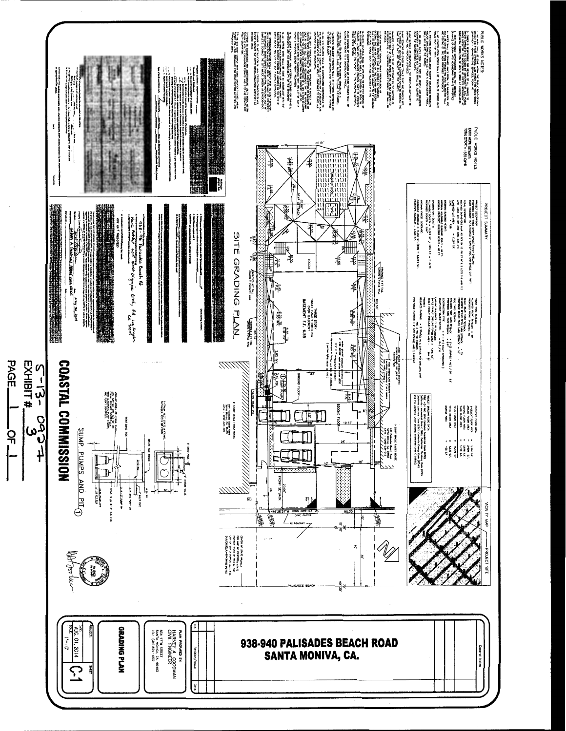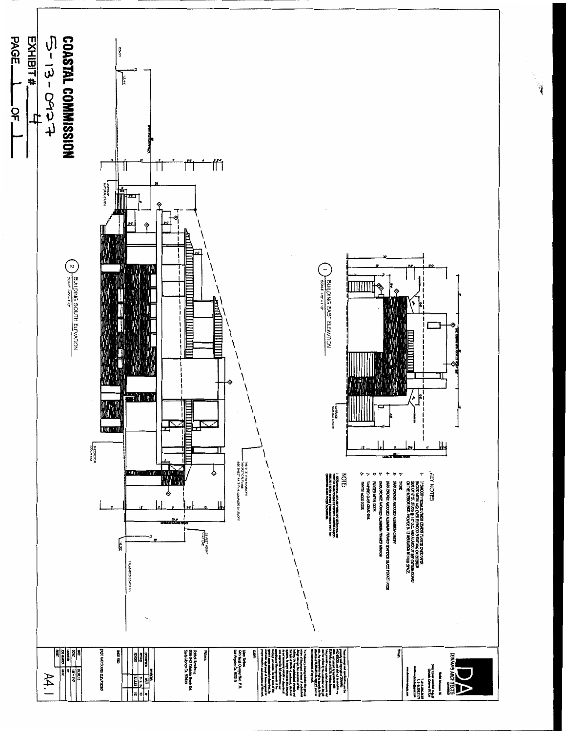

 $\begin{matrix} \frac{1}{2} & \frac{1}{2} \\ \frac{1}{2} & \frac{1}{2} \end{matrix}$